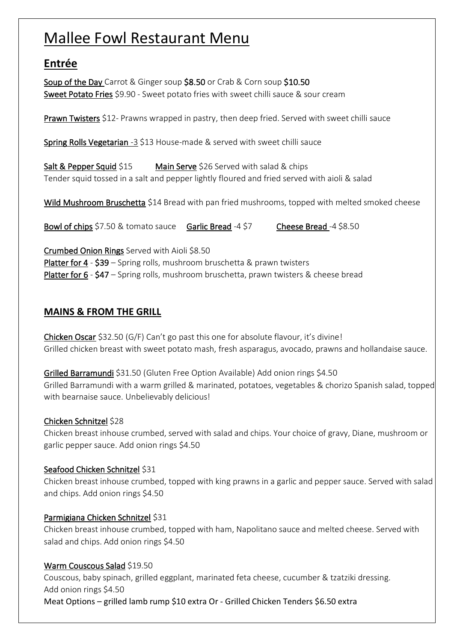# Mallee Fowl Restaurant Menu

# **Entrée**

Soup of the Day Carrot & Ginger soup \$8.50 or Crab & Corn soup \$10.50 Sweet Potato Fries \$9.90 - Sweet potato fries with sweet chilli sauce & sour cream

Prawn Twisters \$12- Prawns wrapped in pastry, then deep fried. Served with sweet chilli sauce

Spring Rolls Vegetarian -3 \$13 House-made & served with sweet chilli sauce

Salt & Pepper Squid \$15 Main Serve \$26 Served with salad & chips Tender squid tossed in a salt and pepper lightly floured and fried served with aioli & salad

Wild Mushroom Bruschetta \$14 Bread with pan fried mushrooms, topped with melted smoked cheese

Bowl of chips \$7.50 & tomato sauce Garlic Bread -4 \$7 Cheese Bread -4 \$8.50

Crumbed Onion Rings Served with Aioli \$8.50 Platter for 4 - \$39 – Spring rolls, mushroom bruschetta & prawn twisters Platter for 6 - \$47 - Spring rolls, mushroom bruschetta, prawn twisters & cheese bread

### **MAINS & FROM THE GRILL**

Chicken Oscar \$32.50 (G/F) Can't go past this one for absolute flavour, it's divine! Grilled chicken breast with sweet potato mash, fresh asparagus, avocado, prawns and hollandaise sauce.

Grilled Barramundi \$31.50 (Gluten Free Option Available) Add onion rings \$4.50 Grilled Barramundi with a warm grilled & marinated, potatoes, vegetables & chorizo Spanish salad, topped with bearnaise sauce. Unbelievably delicious!

### Chicken Schnitzel \$28

Chicken breast inhouse crumbed, served with salad and chips. Your choice of gravy, Diane, mushroom or garlic pepper sauce. Add onion rings \$4.50

### Seafood Chicken Schnitzel \$31

Chicken breast inhouse crumbed, topped with king prawns in a garlic and pepper sauce. Served with salad and chips. Add onion rings \$4.50

### Parmigiana Chicken Schnitzel \$31

Chicken breast inhouse crumbed, topped with ham, Napolitano sauce and melted cheese. Served with salad and chips. Add onion rings \$4.50

### Warm Couscous Salad \$19.50

Couscous, baby spinach, grilled eggplant, marinated feta cheese, cucumber & tzatziki dressing. Add onion rings \$4.50 Meat Options – grilled lamb rump \$10 extra Or - Grilled Chicken Tenders \$6.50 extra